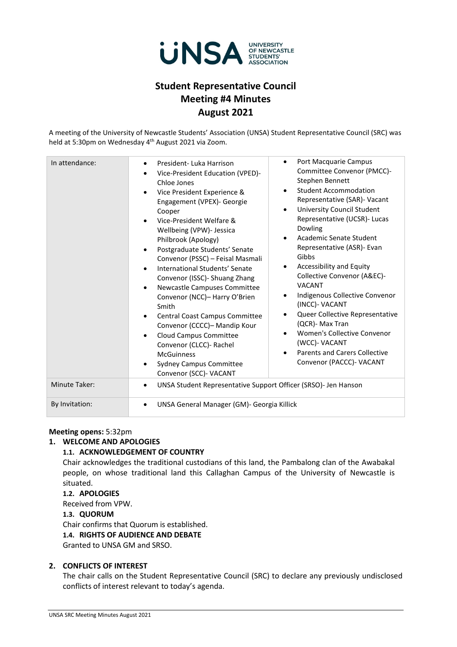

# **Student Representative Council Meeting #4 Minutes August 2021**

A meeting of the University of Newcastle Students' Association (UNSA) Student Representative Council (SRC) was held at 5:30pm on Wednesday 4<sup>th</sup> August 2021 via Zoom.

| In attendance:       | Port Macquarie Campus<br>$\bullet$<br>President-Luka Harrison<br>$\bullet$<br>Committee Convenor (PMCC)-<br>Vice-President Education (VPED)-<br>$\bullet$<br>Stephen Bennett<br>Chloe Jones<br><b>Student Accommodation</b><br>$\bullet$<br>Vice President Experience &<br>$\bullet$<br>Representative (SAR)- Vacant<br>Engagement (VPEX)- Georgie<br><b>University Council Student</b><br>$\bullet$<br>Cooper<br>Representative (UCSR)- Lucas<br>Vice-President Welfare &<br>$\bullet$<br>Dowling<br>Wellbeing (VPW)- Jessica<br>Academic Senate Student<br>$\bullet$<br>Philbrook (Apology)<br>Representative (ASR) - Evan<br>Postgraduate Students' Senate<br>$\bullet$<br>Gibbs<br>Convenor (PSSC) - Feisal Masmali<br>Accessibility and Equity<br>$\bullet$<br>International Students' Senate<br>$\bullet$<br>Collective Convenor (A&EC)-<br>Convenor (ISSC) - Shuang Zhang<br><b>VACANT</b><br>Newcastle Campuses Committee<br>$\bullet$<br>Indigenous Collective Convenor<br>$\bullet$<br>Convenor (NCC)- Harry O'Brien<br>(INCC)- VACANT<br>Smith<br>Queer Collective Representative<br>Central Coast Campus Committee<br>$\bullet$<br>(QCR)- Max Tran<br>Convenor (CCCC)- Mandip Kour<br>Women's Collective Convenor<br>$\bullet$<br>Cloud Campus Committee<br>$\bullet$<br>(WCC)- VACANT<br>Convenor (CLCC)- Rachel<br><b>Parents and Carers Collective</b><br><b>McGuinness</b><br>Convenor (PACCC)- VACANT<br><b>Sydney Campus Committee</b><br>$\bullet$<br>Convenor (SCC)- VACANT |
|----------------------|-------------------------------------------------------------------------------------------------------------------------------------------------------------------------------------------------------------------------------------------------------------------------------------------------------------------------------------------------------------------------------------------------------------------------------------------------------------------------------------------------------------------------------------------------------------------------------------------------------------------------------------------------------------------------------------------------------------------------------------------------------------------------------------------------------------------------------------------------------------------------------------------------------------------------------------------------------------------------------------------------------------------------------------------------------------------------------------------------------------------------------------------------------------------------------------------------------------------------------------------------------------------------------------------------------------------------------------------------------------------------------------------------------------------------------------------------------------------------------------------------|
| <b>Minute Taker:</b> | UNSA Student Representative Support Officer (SRSO)- Jen Hanson<br>$\bullet$                                                                                                                                                                                                                                                                                                                                                                                                                                                                                                                                                                                                                                                                                                                                                                                                                                                                                                                                                                                                                                                                                                                                                                                                                                                                                                                                                                                                                     |
| By Invitation:       | UNSA General Manager (GM)- Georgia Killick<br>$\bullet$                                                                                                                                                                                                                                                                                                                                                                                                                                                                                                                                                                                                                                                                                                                                                                                                                                                                                                                                                                                                                                                                                                                                                                                                                                                                                                                                                                                                                                         |

## **Meeting opens:** 5:32pm

## **1. WELCOME AND APOLOGIES**

## **1.1. ACKNOWLEDGEMENT OF COUNTRY**

Chair acknowledges the traditional custodians of this land, the Pambalong clan of the Awabakal people, on whose traditional land this Callaghan Campus of the University of Newcastle is situated.

#### **1.2. APOLOGIES**

Received from VPW. **1.3. QUORUM** Chair confirms that Quorum is established. **1.4. RIGHTS OF AUDIENCE AND DEBATE**

Granted to UNSA GM and SRSO.

# **2. CONFLICTS OF INTEREST**

The chair calls on the Student Representative Council (SRC) to declare any previously undisclosed conflicts of interest relevant to today's agenda.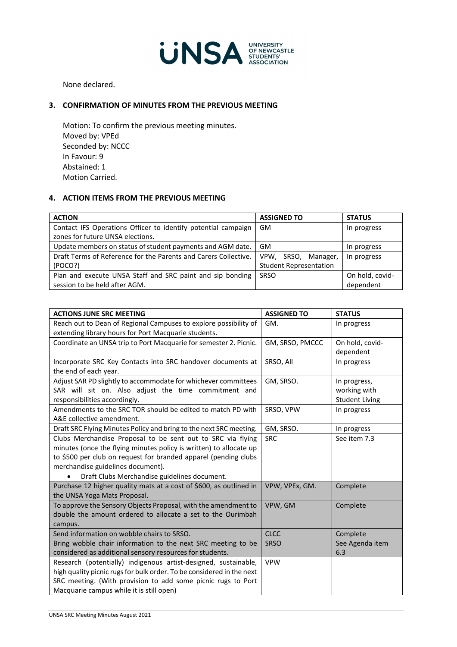

None declared.

# **3. CONFIRMATION OF MINUTES FROM THE PREVIOUS MEETING**

Motion: To confirm the previous meeting minutes. Moved by: VPEd Seconded by: NCCC In Favour: 9 Abstained: 1 Motion Carried.

# **4. ACTION ITEMS FROM THE PREVIOUS MEETING**

| <b>ACTION</b>                                                   | <b>ASSIGNED TO</b>            | <b>STATUS</b>   |
|-----------------------------------------------------------------|-------------------------------|-----------------|
| Contact IFS Operations Officer to identify potential campaign   | GM                            | In progress     |
| zones for future UNSA elections.                                |                               |                 |
| Update members on status of student payments and AGM date.      | GM.                           | In progress     |
| Draft Terms of Reference for the Parents and Carers Collective. | VPW, SRSO, Manager,           | In progress     |
| (POCO?)                                                         | <b>Student Representation</b> |                 |
| Plan and execute UNSA Staff and SRC paint and sip bonding       | <b>SRSO</b>                   | On hold, covid- |
| session to be held after AGM.                                   |                               | dependent       |

| <b>ACTIONS JUNE SRC MEETING</b>                                       | <b>ASSIGNED TO</b> | <b>STATUS</b>         |
|-----------------------------------------------------------------------|--------------------|-----------------------|
| Reach out to Dean of Regional Campuses to explore possibility of      | GM.                | In progress           |
| extending library hours for Port Macquarie students.                  |                    |                       |
| Coordinate an UNSA trip to Port Macquarie for semester 2. Picnic.     | GM, SRSO, PMCCC    | On hold, covid-       |
|                                                                       |                    | dependent             |
| Incorporate SRC Key Contacts into SRC handover documents at           | SRSO, All          | In progress           |
| the end of each year.                                                 |                    |                       |
| Adjust SAR PD slightly to accommodate for whichever committees        | GM, SRSO.          | In progress,          |
| SAR will sit on. Also adjust the time commitment and                  |                    | working with          |
| responsibilities accordingly.                                         |                    | <b>Student Living</b> |
| Amendments to the SRC TOR should be edited to match PD with           | SRSO, VPW          | In progress           |
| A&E collective amendment.                                             |                    |                       |
| Draft SRC Flying Minutes Policy and bring to the next SRC meeting.    | GM, SRSO.          | In progress           |
| Clubs Merchandise Proposal to be sent out to SRC via flying           | <b>SRC</b>         | See item 7.3          |
| minutes (once the flying minutes policy is written) to allocate up    |                    |                       |
| to \$500 per club on request for branded apparel (pending clubs       |                    |                       |
| merchandise guidelines document).                                     |                    |                       |
| Draft Clubs Merchandise guidelines document.                          |                    |                       |
| Purchase 12 higher quality mats at a cost of \$600, as outlined in    | VPW, VPEx, GM.     | Complete              |
| the UNSA Yoga Mats Proposal.                                          |                    |                       |
| To approve the Sensory Objects Proposal, with the amendment to        | VPW, GM            | Complete              |
| double the amount ordered to allocate a set to the Ourimbah           |                    |                       |
| campus.                                                               |                    |                       |
| Send information on wobble chairs to SRSO.                            | <b>CLCC</b>        | Complete              |
| Bring wobble chair information to the next SRC meeting to be          | <b>SRSO</b>        | See Agenda item       |
| considered as additional sensory resources for students.              |                    | 6.3                   |
| Research (potentially) indigenous artist-designed, sustainable,       | <b>VPW</b>         |                       |
| high quality picnic rugs for bulk order. To be considered in the next |                    |                       |
| SRC meeting. (With provision to add some picnic rugs to Port          |                    |                       |
| Macquarie campus while it is still open)                              |                    |                       |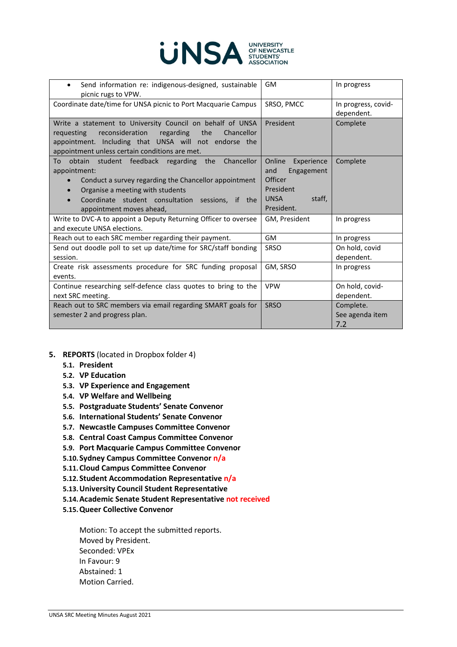

| Send information re: indigenous-designed, sustainable<br>$\bullet$<br>picnic rugs to VPW.                                                                                                                                                           | GM                                                                                                           | In progress                         |  |
|-----------------------------------------------------------------------------------------------------------------------------------------------------------------------------------------------------------------------------------------------------|--------------------------------------------------------------------------------------------------------------|-------------------------------------|--|
| Coordinate date/time for UNSA picnic to Port Macquarie Campus                                                                                                                                                                                       | SRSO, PMCC                                                                                                   | In progress, covid-<br>dependent.   |  |
| Write a statement to University Council on behalf of UNSA<br>reconsideration<br>regarding<br>the<br>requesting<br>Chancellor<br>appointment. Including that UNSA will not endorse the<br>appointment unless certain conditions are met.             | President                                                                                                    | Complete                            |  |
| obtain student feedback regarding the Chancellor<br>To<br>appointment:<br>Conduct a survey regarding the Chancellor appointment<br>Organise a meeting with students<br>Coordinate student consultation sessions, if the<br>appointment moves ahead, | Online Experience<br>and<br>Engagement<br><b>Officer</b><br>President<br><b>UNSA</b><br>staff,<br>President. | Complete                            |  |
| Write to DVC-A to appoint a Deputy Returning Officer to oversee<br>and execute UNSA elections.                                                                                                                                                      | GM, President                                                                                                | In progress                         |  |
| Reach out to each SRC member regarding their payment.                                                                                                                                                                                               | GM                                                                                                           | In progress                         |  |
| Send out doodle poll to set up date/time for SRC/staff bonding<br>session.                                                                                                                                                                          | <b>SRSO</b>                                                                                                  | On hold, covid<br>dependent.        |  |
| Create risk assessments procedure for SRC funding proposal<br>events.                                                                                                                                                                               | GM, SRSO                                                                                                     | In progress                         |  |
| Continue researching self-defence class quotes to bring to the<br>next SRC meeting.                                                                                                                                                                 | <b>VPW</b>                                                                                                   | On hold, covid-<br>dependent.       |  |
| Reach out to SRC members via email regarding SMART goals for<br>semester 2 and progress plan.                                                                                                                                                       | <b>SRSO</b>                                                                                                  | Complete.<br>See agenda item<br>7.2 |  |

- **5. REPORTS** (located in Dropbox folder 4)
	- **5.1. President**
	- **5.2. VP Education**
	- **5.3. VP Experience and Engagement**
	- **5.4. VP Welfare and Wellbeing**
	- **5.5. Postgraduate Students' Senate Convenor**
	- **5.6. International Students' Senate Convenor**
	- **5.7. Newcastle Campuses Committee Convenor**
	- **5.8. Central Coast Campus Committee Convenor**
	- **5.9. Port Macquarie Campus Committee Convenor**
	- **5.10.Sydney Campus Committee Convenor n/a**
	- **5.11.Cloud Campus Committee Convenor**
	- **5.12.Student Accommodation Representative n/a**
	- **5.13.University Council Student Representative**
	- **5.14.Academic Senate Student Representative not received**
	- **5.15.Queer Collective Convenor**

Motion: To accept the submitted reports. Moved by President. Seconded: VPEx In Favour: 9 Abstained: 1 Motion Carried.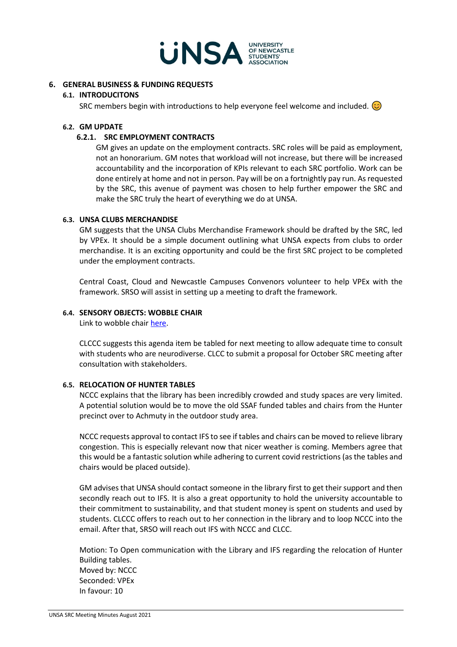

#### **6. GENERAL BUSINESS & FUNDING REQUESTS**

#### **6.1. INTRODUCITONS**

SRC members begin with introductions to help everyone feel welcome and included.  $\circledcirc$ 

#### **6.2. GM UPDATE**

#### **6.2.1. SRC EMPLOYMENT CONTRACTS**

GM gives an update on the employment contracts. SRC roles will be paid as employment, not an honorarium. GM notes that workload will not increase, but there will be increased accountability and the incorporation of KPIs relevant to each SRC portfolio. Work can be done entirely at home and not in person. Pay will be on a fortnightly pay run. As requested by the SRC, this avenue of payment was chosen to help further empower the SRC and make the SRC truly the heart of everything we do at UNSA.

#### **6.3. UNSA CLUBS MERCHANDISE**

GM suggests that the UNSA Clubs Merchandise Framework should be drafted by the SRC, led by VPEx. It should be a simple document outlining what UNSA expects from clubs to order merchandise. It is an exciting opportunity and could be the first SRC project to be completed under the employment contracts.

Central Coast, Cloud and Newcastle Campuses Convenors volunteer to help VPEx with the framework. SRSO will assist in setting up a meeting to draft the framework.

#### **6.4. SENSORY OBJECTS: WOBBLE CHAIR**

Link to wobble chair [here.](https://officefurnituresales.com.au/products/jari-motion-sensory-aid-active-stool?utm_content=Facebook_UA&utm_source=facebook&variant=40315444362&fbclid=PAAaahWZxGdpnSBTfstDSb-L89jiQRahvF3M3vPxoUiGGAFp_jn2bnsGxin1A)

CLCCC suggests this agenda item be tabled for next meeting to allow adequate time to consult with students who are neurodiverse. CLCC to submit a proposal for October SRC meeting after consultation with stakeholders.

#### **6.5. RELOCATION OF HUNTER TABLES**

NCCC explains that the library has been incredibly crowded and study spaces are very limited. A potential solution would be to move the old SSAF funded tables and chairs from the Hunter precinct over to Achmuty in the outdoor study area.

NCCC requests approval to contact IFS to see if tables and chairs can be moved to relieve library congestion. This is especially relevant now that nicer weather is coming. Members agree that this would be a fantastic solution while adhering to current covid restrictions (as the tables and chairs would be placed outside).

GM advises that UNSA should contact someone in the library first to get their support and then secondly reach out to IFS. It is also a great opportunity to hold the university accountable to their commitment to sustainability, and that student money is spent on students and used by students. CLCCC offers to reach out to her connection in the library and to loop NCCC into the email. After that, SRSO will reach out IFS with NCCC and CLCC.

Motion: To Open communication with the Library and IFS regarding the relocation of Hunter Building tables. Moved by: NCCC Seconded: VPEx In favour: 10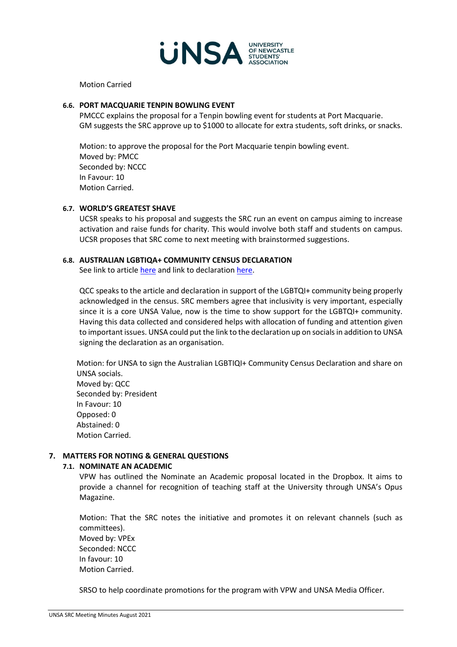

Motion Carried

## **6.6. PORT MACQUARIE TENPIN BOWLING EVENT**

PMCCC explains the proposal for a Tenpin bowling event for students at Port Macquarie. GM suggests the SRC approve up to \$1000 to allocate for extra students, soft drinks, or snacks.

Motion: to approve the proposal for the Port Macquarie tenpin bowling event. Moved by: PMCC Seconded by: NCCC In Favour: 10 Motion Carried.

#### **6.7. WORLD'S GREATEST SHAVE**

UCSR speaks to his proposal and suggests the SRC run an event on campus aiming to increase activation and raise funds for charity. This would involve both staff and students on campus. UCSR proposes that SRC come to next meeting with brainstormed suggestions.

#### **6.8. AUSTRALIAN LGBTIQA+ COMMUNITY CENSUS DECLARATION**

See link to articl[e here](https://www.outinperth.com/advocates-condemn-2021-census-for-excluding-lgbtqia-australians/) and link to declaratio[n here.](https://www.equal.org.au/2021_census)

QCC speaks to the article and declaration in support of the LGBTQI+ community being properly acknowledged in the census. SRC members agree that inclusivity is very important, especially since it is a core UNSA Value, now is the time to show support for the LGBTQI+ community. Having this data collected and considered helps with allocation of funding and attention given to important issues. UNSA could put the link to the declaration up on socials in addition to UNSA signing the declaration as an organisation.

Motion: for UNSA to sign the Australian LGBTIQI+ Community Census Declaration and share on UNSA socials. Moved by: QCC Seconded by: President In Favour: 10 Opposed: 0 Abstained: 0 Motion Carried.

## **7. MATTERS FOR NOTING & GENERAL QUESTIONS**

# **7.1. NOMINATE AN ACADEMIC**

VPW has outlined the Nominate an Academic proposal located in the Dropbox. It aims to provide a channel for recognition of teaching staff at the University through UNSA's Opus Magazine.

Motion: That the SRC notes the initiative and promotes it on relevant channels (such as committees). Moved by: VPEx Seconded: NCCC

In favour: 10 Motion Carried.

SRSO to help coordinate promotions for the program with VPW and UNSA Media Officer.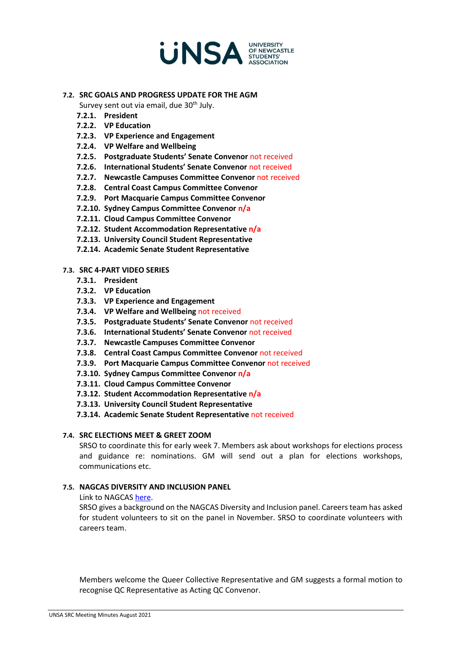

## **7.2. SRC GOALS AND PROGRESS UPDATE FOR THE AGM**

Survey sent out via email, due 30<sup>th</sup> July.

- **7.2.1. President**
- **7.2.2. VP Education**
- **7.2.3. VP Experience and Engagement**
- **7.2.4. VP Welfare and Wellbeing**
- **7.2.5. Postgraduate Students' Senate Convenor** not received
- **7.2.6. International Students' Senate Convenor** not received
- **7.2.7. Newcastle Campuses Committee Convenor** not received
- **7.2.8. Central Coast Campus Committee Convenor**
- **7.2.9. Port Macquarie Campus Committee Convenor**
- **7.2.10. Sydney Campus Committee Convenor n/a**
- **7.2.11. Cloud Campus Committee Convenor**
- **7.2.12. Student Accommodation Representative n/a**
- **7.2.13. University Council Student Representative**
- **7.2.14. Academic Senate Student Representative**

#### **7.3. SRC 4-PART VIDEO SERIES**

- **7.3.1. President**
- **7.3.2. VP Education**
- **7.3.3. VP Experience and Engagement**
- **7.3.4. VP Welfare and Wellbeing** not received
- **7.3.5. Postgraduate Students' Senate Convenor** not received
- **7.3.6. International Students' Senate Convenor** not received
- **7.3.7. Newcastle Campuses Committee Convenor**
- **7.3.8. Central Coast Campus Committee Convenor** not received
- **7.3.9. Port Macquarie Campus Committee Convenor** not received
- **7.3.10. Sydney Campus Committee Convenor n/a**
- **7.3.11. Cloud Campus Committee Convenor**
- **7.3.12. Student Accommodation Representative n/a**
- **7.3.13. University Council Student Representative**
- **7.3.14. Academic Senate Student Representative** not received

## **7.4. SRC ELECTIONS MEET & GREET ZOOM**

SRSO to coordinate this for early week 7. Members ask about workshops for elections process and guidance re: nominations. GM will send out a plan for elections workshops, communications etc.

## **7.5. NAGCAS DIVERSITY AND INCLUSION PANEL**

#### Link to NAGCAS [here.](https://www.nagcas.org.au/)

SRSO gives a background on the NAGCAS Diversity and Inclusion panel. Careers team has asked for student volunteers to sit on the panel in November. SRSO to coordinate volunteers with careers team.

Members welcome the Queer Collective Representative and GM suggests a formal motion to recognise QC Representative as Acting QC Convenor.